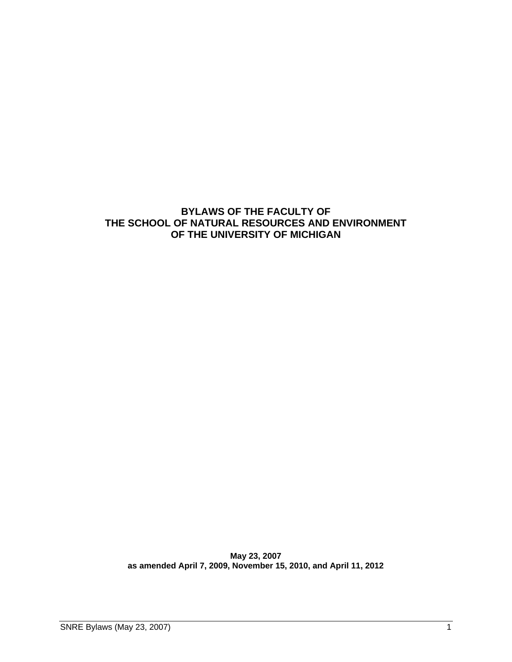# **BYLAWS OF THE FACULTY OF THE SCHOOL OF NATURAL RESOURCES AND ENVIRONMENT OF THE UNIVERSITY OF MICHIGAN**

**May 23, 2007 as amended April 7, 2009, November 15, 2010, and April 11, 2012**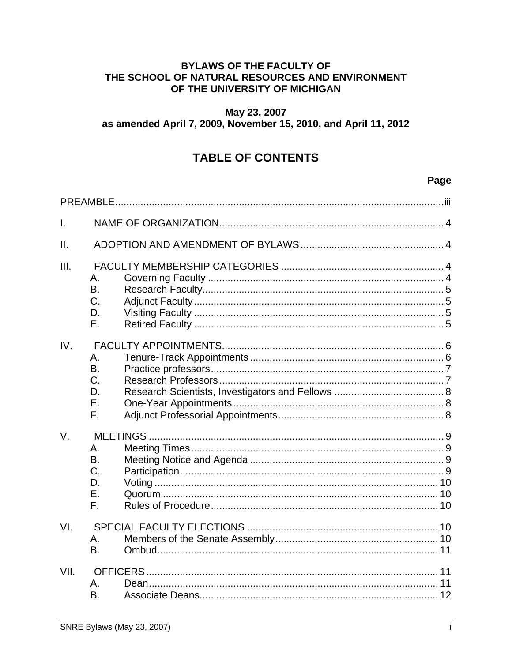# **BYLAWS OF THE FACULTY OF** THE SCHOOL OF NATURAL RESOURCES AND ENVIRONMENT OF THE UNIVERSITY OF MICHIGAN

# May 23, 2007

as amended April 7, 2009, November 15, 2010, and April 11, 2012

# **TABLE OF CONTENTS**

# Page

| $\mathbf{I}$ . |                                         |  |  |  |  |
|----------------|-----------------------------------------|--|--|--|--|
| Ш.             |                                         |  |  |  |  |
| III.           | Α.<br><b>B.</b><br>C.<br>D.<br>Ε.       |  |  |  |  |
| IV.            | Α.<br><b>B.</b><br>C.<br>D.<br>Ε.<br>F. |  |  |  |  |
| V.             | Α.<br><b>B.</b><br>C.<br>D.<br>Ε.<br>F. |  |  |  |  |
| VI.            | Α.<br><b>B.</b>                         |  |  |  |  |
| VII.           | $\mathsf{A}_{\cdot}$<br>B.              |  |  |  |  |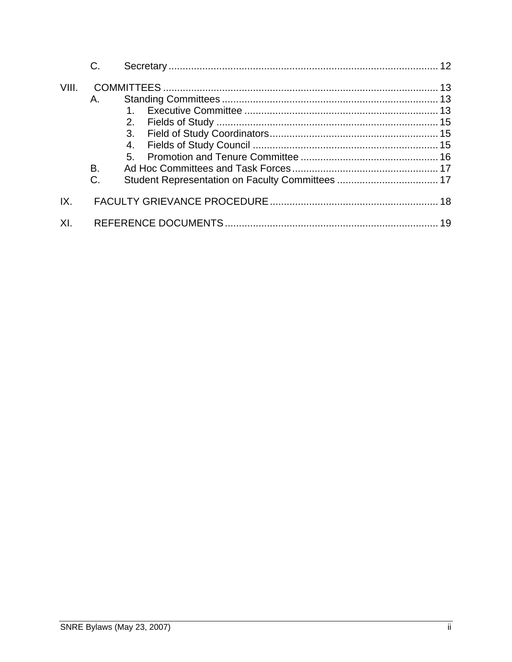| VIII. |    |                |  |  |
|-------|----|----------------|--|--|
|       | А. |                |  |  |
|       |    |                |  |  |
|       |    | 2.             |  |  |
|       |    | 3.             |  |  |
|       |    | 4.             |  |  |
|       |    | 5 <sub>1</sub> |  |  |
|       | В. |                |  |  |
|       | C. |                |  |  |
| IX.   |    |                |  |  |
| XI.   |    |                |  |  |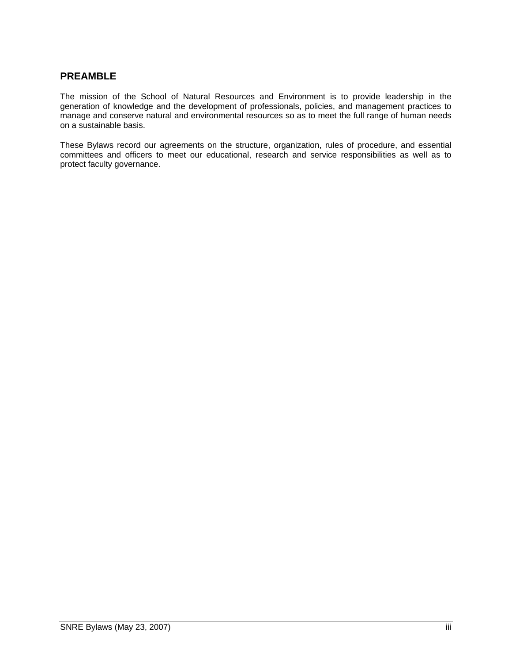# **PREAMBLE**

The mission of the School of Natural Resources and Environment is to provide leadership in the generation of knowledge and the development of professionals, policies, and management practices to manage and conserve natural and environmental resources so as to meet the full range of human needs on a sustainable basis.

These Bylaws record our agreements on the structure, organization, rules of procedure, and essential committees and officers to meet our educational, research and service responsibilities as well as to protect faculty governance.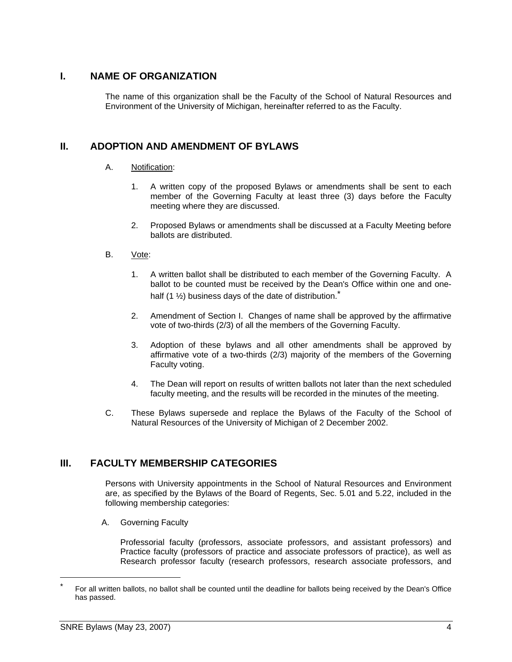### **I. NAME OF ORGANIZATION**

The name of this organization shall be the Faculty of the School of Natural Resources and Environment of the University of Michigan, hereinafter referred to as the Faculty.

#### **II. ADOPTION AND AMENDMENT OF BYLAWS**

#### A. Notification:

- 1. A written copy of the proposed Bylaws or amendments shall be sent to each member of the Governing Faculty at least three (3) days before the Faculty meeting where they are discussed.
- 2. Proposed Bylaws or amendments shall be discussed at a Faculty Meeting before ballots are distributed.
- B. Vote:
	- 1. A written ballot shall be distributed to each member of the Governing Faculty. A ballot to be counted must be received by the Dean's Office within one and onehalf (1  $\frac{1}{2}$ ) business days of the date of distribution.
	- 2. Amendment of Section I. Changes of name shall be approved by the affirmative vote of two-thirds (2/3) of all the members of the Governing Faculty.
	- 3. Adoption of these bylaws and all other amendments shall be approved by affirmative vote of a two-thirds (2/3) majority of the members of the Governing Faculty voting.
	- 4. The Dean will report on results of written ballots not later than the next scheduled faculty meeting, and the results will be recorded in the minutes of the meeting.
- C. These Bylaws supersede and replace the Bylaws of the Faculty of the School of Natural Resources of the University of Michigan of 2 December 2002.

### **III. FACULTY MEMBERSHIP CATEGORIES**

Persons with University appointments in the School of Natural Resources and Environment are, as specified by the Bylaws of the Board of Regents, Sec. 5.01 and 5.22, included in the following membership categories:

A. Governing Faculty

Professorial faculty (professors, associate professors, and assistant professors) and Practice faculty (professors of practice and associate professors of practice), as well as Research professor faculty (research professors, research associate professors, and

For all written ballots, no ballot shall be counted until the deadline for ballots being received by the Dean's Office has passed.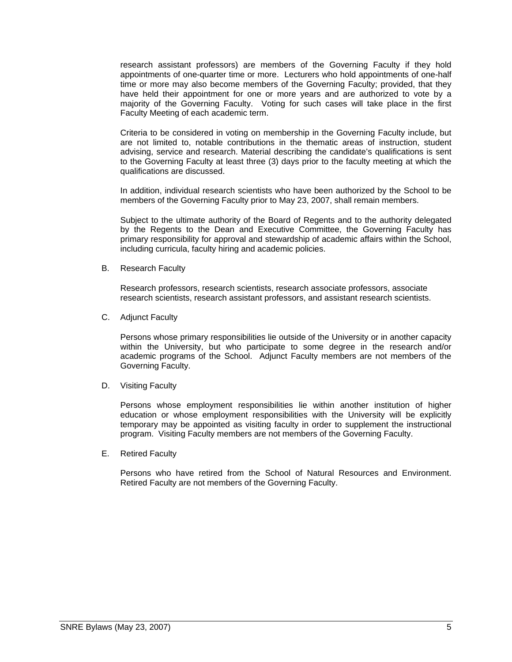research assistant professors) are members of the Governing Faculty if they hold appointments of one-quarter time or more. Lecturers who hold appointments of one-half time or more may also become members of the Governing Faculty; provided, that they have held their appointment for one or more years and are authorized to vote by a majority of the Governing Faculty. Voting for such cases will take place in the first Faculty Meeting of each academic term.

Criteria to be considered in voting on membership in the Governing Faculty include, but are not limited to, notable contributions in the thematic areas of instruction, student advising, service and research. Material describing the candidate's qualifications is sent to the Governing Faculty at least three (3) days prior to the faculty meeting at which the qualifications are discussed.

In addition, individual research scientists who have been authorized by the School to be members of the Governing Faculty prior to May 23, 2007, shall remain members.

Subject to the ultimate authority of the Board of Regents and to the authority delegated by the Regents to the Dean and Executive Committee, the Governing Faculty has primary responsibility for approval and stewardship of academic affairs within the School, including curricula, faculty hiring and academic policies.

B. Research Faculty

 Research professors, research scientists, research associate professors, associate research scientists, research assistant professors, and assistant research scientists.

C. Adjunct Faculty

Persons whose primary responsibilities lie outside of the University or in another capacity within the University, but who participate to some degree in the research and/or academic programs of the School. Adjunct Faculty members are not members of the Governing Faculty.

D. Visiting Faculty

Persons whose employment responsibilities lie within another institution of higher education or whose employment responsibilities with the University will be explicitly temporary may be appointed as visiting faculty in order to supplement the instructional program. Visiting Faculty members are not members of the Governing Faculty.

E. Retired Faculty

Persons who have retired from the School of Natural Resources and Environment. Retired Faculty are not members of the Governing Faculty.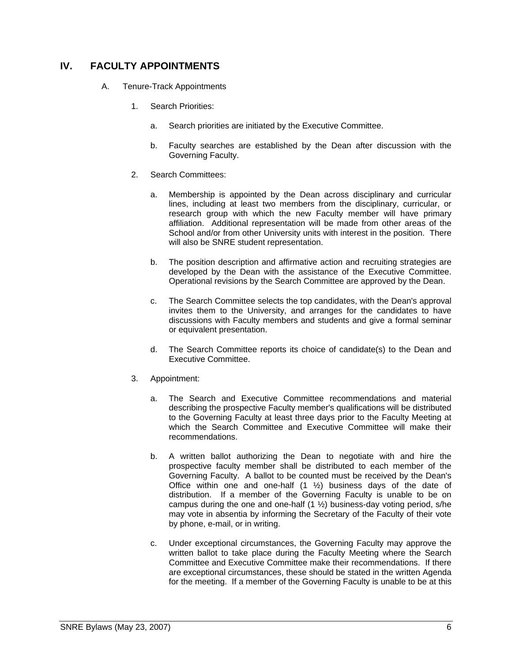# **IV. FACULTY APPOINTMENTS**

- A. Tenure-Track Appointments
	- 1. Search Priorities:
		- a. Search priorities are initiated by the Executive Committee.
		- b. Faculty searches are established by the Dean after discussion with the Governing Faculty.
	- 2. Search Committees:
		- a. Membership is appointed by the Dean across disciplinary and curricular lines, including at least two members from the disciplinary, curricular, or research group with which the new Faculty member will have primary affiliation. Additional representation will be made from other areas of the School and/or from other University units with interest in the position. There will also be SNRE student representation.
		- b. The position description and affirmative action and recruiting strategies are developed by the Dean with the assistance of the Executive Committee. Operational revisions by the Search Committee are approved by the Dean.
		- c. The Search Committee selects the top candidates, with the Dean's approval invites them to the University, and arranges for the candidates to have discussions with Faculty members and students and give a formal seminar or equivalent presentation.
		- d. The Search Committee reports its choice of candidate(s) to the Dean and Executive Committee.
	- 3. Appointment:
		- a. The Search and Executive Committee recommendations and material describing the prospective Faculty member's qualifications will be distributed to the Governing Faculty at least three days prior to the Faculty Meeting at which the Search Committee and Executive Committee will make their recommendations.
		- b. A written ballot authorizing the Dean to negotiate with and hire the prospective faculty member shall be distributed to each member of the Governing Faculty. A ballot to be counted must be received by the Dean's Office within one and one-half  $(1 \frac{1}{2})$  business days of the date of distribution. If a member of the Governing Faculty is unable to be on campus during the one and one-half  $(1 \frac{1}{2})$  business-day voting period, s/he may vote in absentia by informing the Secretary of the Faculty of their vote by phone, e-mail, or in writing.
		- c. Under exceptional circumstances, the Governing Faculty may approve the written ballot to take place during the Faculty Meeting where the Search Committee and Executive Committee make their recommendations. If there are exceptional circumstances, these should be stated in the written Agenda for the meeting. If a member of the Governing Faculty is unable to be at this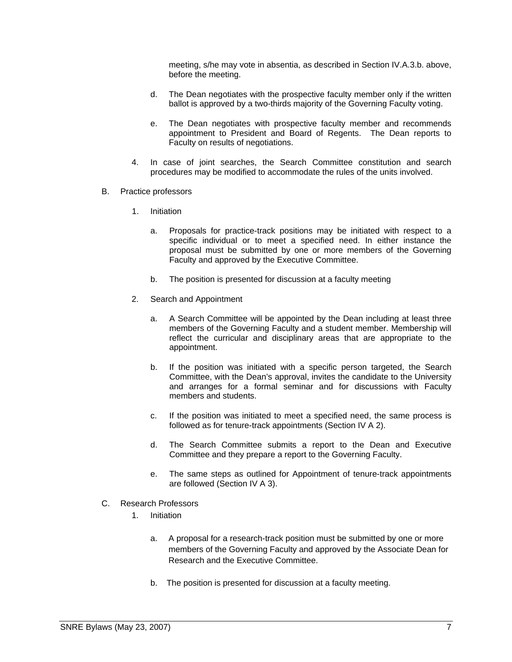meeting, s/he may vote in absentia, as described in Section IV.A.3.b. above, before the meeting.

- d. The Dean negotiates with the prospective faculty member only if the written ballot is approved by a two-thirds majority of the Governing Faculty voting.
- e. The Dean negotiates with prospective faculty member and recommends appointment to President and Board of Regents. The Dean reports to Faculty on results of negotiations.
- 4. In case of joint searches, the Search Committee constitution and search procedures may be modified to accommodate the rules of the units involved.
- B. Practice professors
	- 1. Initiation
		- a. Proposals for practice-track positions may be initiated with respect to a specific individual or to meet a specified need. In either instance the proposal must be submitted by one or more members of the Governing Faculty and approved by the Executive Committee.
		- b. The position is presented for discussion at a faculty meeting
	- 2. Search and Appointment
		- a. A Search Committee will be appointed by the Dean including at least three members of the Governing Faculty and a student member. Membership will reflect the curricular and disciplinary areas that are appropriate to the appointment.
		- b. If the position was initiated with a specific person targeted, the Search Committee, with the Dean's approval, invites the candidate to the University and arranges for a formal seminar and for discussions with Faculty members and students.
		- c. If the position was initiated to meet a specified need, the same process is followed as for tenure-track appointments (Section IV A 2).
		- d. The Search Committee submits a report to the Dean and Executive Committee and they prepare a report to the Governing Faculty.
		- e. The same steps as outlined for Appointment of tenure-track appointments are followed (Section IV A 3).
- C. Research Professors
	- 1. Initiation
		- a. A proposal for a research-track position must be submitted by one or more members of the Governing Faculty and approved by the Associate Dean for Research and the Executive Committee.
		- b. The position is presented for discussion at a faculty meeting.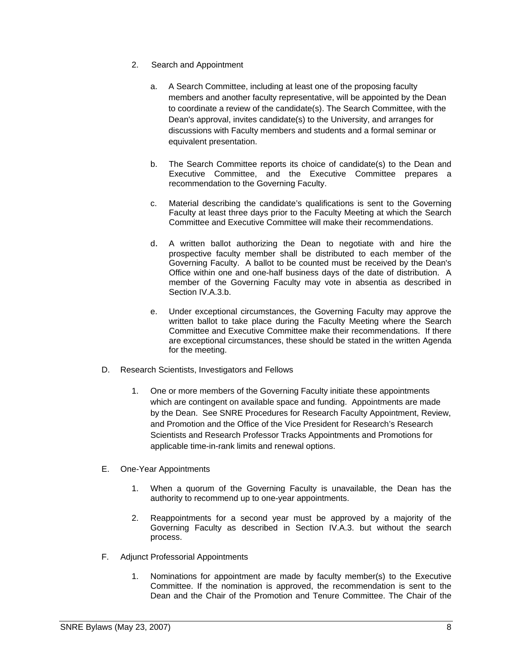- 2. Search and Appointment
	- a. A Search Committee, including at least one of the proposing faculty members and another faculty representative, will be appointed by the Dean to coordinate a review of the candidate(s). The Search Committee, with the Dean's approval, invites candidate(s) to the University, and arranges for discussions with Faculty members and students and a formal seminar or equivalent presentation.
	- b. The Search Committee reports its choice of candidate(s) to the Dean and Executive Committee, and the Executive Committee prepares a recommendation to the Governing Faculty.
	- c. Material describing the candidate's qualifications is sent to the Governing Faculty at least three days prior to the Faculty Meeting at which the Search Committee and Executive Committee will make their recommendations.
	- d. A written ballot authorizing the Dean to negotiate with and hire the prospective faculty member shall be distributed to each member of the Governing Faculty. A ballot to be counted must be received by the Dean's Office within one and one-half business days of the date of distribution. A member of the Governing Faculty may vote in absentia as described in Section IV.A.3.b.
	- e. Under exceptional circumstances, the Governing Faculty may approve the written ballot to take place during the Faculty Meeting where the Search Committee and Executive Committee make their recommendations. If there are exceptional circumstances, these should be stated in the written Agenda for the meeting.
- D. Research Scientists, Investigators and Fellows
	- 1. One or more members of the Governing Faculty initiate these appointments which are contingent on available space and funding. Appointments are made by the Dean. See SNRE Procedures for Research Faculty Appointment, Review, and Promotion and the Office of the Vice President for Research's Research Scientists and Research Professor Tracks Appointments and Promotions for applicable time-in-rank limits and renewal options.
- E. One-Year Appointments
	- 1. When a quorum of the Governing Faculty is unavailable, the Dean has the authority to recommend up to one-year appointments.
	- 2. Reappointments for a second year must be approved by a majority of the Governing Faculty as described in Section IV.A.3. but without the search process.
- F. Adjunct Professorial Appointments
	- 1. Nominations for appointment are made by faculty member(s) to the Executive Committee. If the nomination is approved, the recommendation is sent to the Dean and the Chair of the Promotion and Tenure Committee. The Chair of the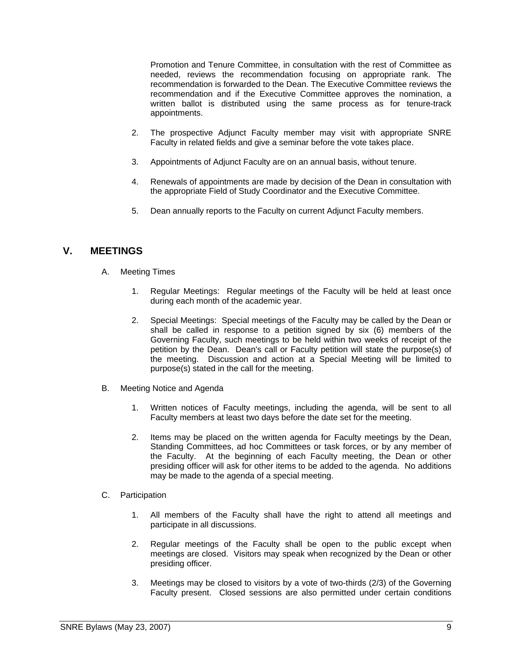Promotion and Tenure Committee, in consultation with the rest of Committee as needed, reviews the recommendation focusing on appropriate rank. The recommendation is forwarded to the Dean. The Executive Committee reviews the recommendation and if the Executive Committee approves the nomination, a written ballot is distributed using the same process as for tenure-track appointments.

- 2. The prospective Adjunct Faculty member may visit with appropriate SNRE Faculty in related fields and give a seminar before the vote takes place.
- 3. Appointments of Adjunct Faculty are on an annual basis, without tenure.
- 4. Renewals of appointments are made by decision of the Dean in consultation with the appropriate Field of Study Coordinator and the Executive Committee.
- 5. Dean annually reports to the Faculty on current Adjunct Faculty members.

### **V. MEETINGS**

- A. Meeting Times
	- 1. Regular Meetings: Regular meetings of the Faculty will be held at least once during each month of the academic year.
	- 2. Special Meetings: Special meetings of the Faculty may be called by the Dean or shall be called in response to a petition signed by six (6) members of the Governing Faculty, such meetings to be held within two weeks of receipt of the petition by the Dean. Dean's call or Faculty petition will state the purpose(s) of the meeting. Discussion and action at a Special Meeting will be limited to purpose(s) stated in the call for the meeting.
- B. Meeting Notice and Agenda
	- 1. Written notices of Faculty meetings, including the agenda, will be sent to all Faculty members at least two days before the date set for the meeting.
	- 2. Items may be placed on the written agenda for Faculty meetings by the Dean, Standing Committees, ad hoc Committees or task forces, or by any member of the Faculty. At the beginning of each Faculty meeting, the Dean or other presiding officer will ask for other items to be added to the agenda. No additions may be made to the agenda of a special meeting.
- C. Participation
	- 1. All members of the Faculty shall have the right to attend all meetings and participate in all discussions.
	- 2. Regular meetings of the Faculty shall be open to the public except when meetings are closed. Visitors may speak when recognized by the Dean or other presiding officer.
	- 3. Meetings may be closed to visitors by a vote of two-thirds (2/3) of the Governing Faculty present. Closed sessions are also permitted under certain conditions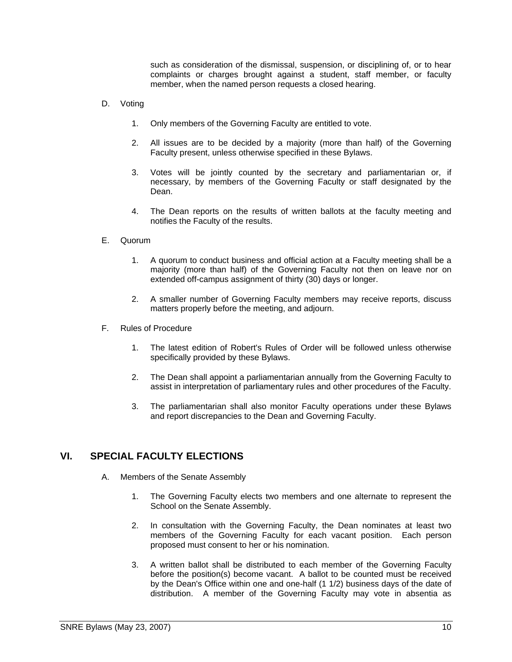such as consideration of the dismissal, suspension, or disciplining of, or to hear complaints or charges brought against a student, staff member, or faculty member, when the named person requests a closed hearing.

- D. Voting
	- 1. Only members of the Governing Faculty are entitled to vote.
	- 2. All issues are to be decided by a majority (more than half) of the Governing Faculty present, unless otherwise specified in these Bylaws.
	- 3. Votes will be jointly counted by the secretary and parliamentarian or, if necessary, by members of the Governing Faculty or staff designated by the Dean.
	- 4. The Dean reports on the results of written ballots at the faculty meeting and notifies the Faculty of the results.
- E. Quorum
	- 1. A quorum to conduct business and official action at a Faculty meeting shall be a majority (more than half) of the Governing Faculty not then on leave nor on extended off-campus assignment of thirty (30) days or longer.
	- 2. A smaller number of Governing Faculty members may receive reports, discuss matters properly before the meeting, and adjourn.
- F. Rules of Procedure
	- 1. The latest edition of Robert's Rules of Order will be followed unless otherwise specifically provided by these Bylaws.
	- 2. The Dean shall appoint a parliamentarian annually from the Governing Faculty to assist in interpretation of parliamentary rules and other procedures of the Faculty.
	- 3. The parliamentarian shall also monitor Faculty operations under these Bylaws and report discrepancies to the Dean and Governing Faculty.

# **VI. SPECIAL FACULTY ELECTIONS**

- A. Members of the Senate Assembly
	- 1. The Governing Faculty elects two members and one alternate to represent the School on the Senate Assembly.
	- 2. In consultation with the Governing Faculty, the Dean nominates at least two members of the Governing Faculty for each vacant position. Each person proposed must consent to her or his nomination.
	- 3. A written ballot shall be distributed to each member of the Governing Faculty before the position(s) become vacant. A ballot to be counted must be received by the Dean's Office within one and one-half (1 1/2) business days of the date of distribution. A member of the Governing Faculty may vote in absentia as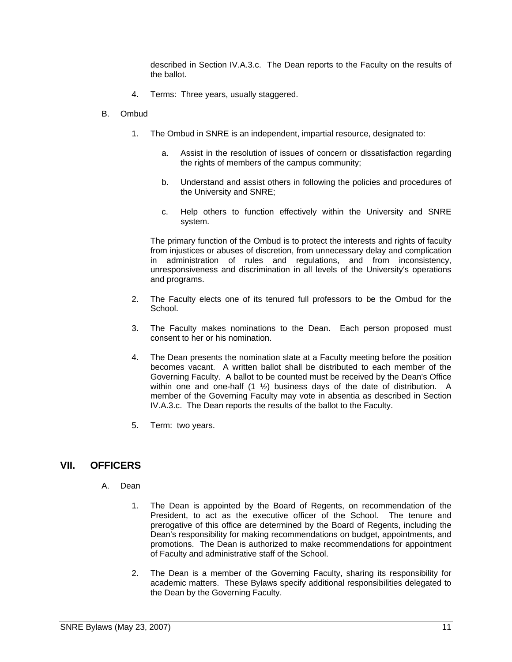described in Section IV.A.3.c. The Dean reports to the Faculty on the results of the ballot.

- 4. Terms: Three years, usually staggered.
- B. Ombud
	- 1. The Ombud in SNRE is an independent, impartial resource, designated to:
		- a. Assist in the resolution of issues of concern or dissatisfaction regarding the rights of members of the campus community;
		- b. Understand and assist others in following the policies and procedures of the University and SNRE;
		- c. Help others to function effectively within the University and SNRE system.

The primary function of the Ombud is to protect the interests and rights of faculty from injustices or abuses of discretion, from unnecessary delay and complication in administration of rules and regulations, and from inconsistency, unresponsiveness and discrimination in all levels of the University's operations and programs.

- 2. The Faculty elects one of its tenured full professors to be the Ombud for the School.
- 3. The Faculty makes nominations to the Dean. Each person proposed must consent to her or his nomination.
- 4. The Dean presents the nomination slate at a Faculty meeting before the position becomes vacant. A written ballot shall be distributed to each member of the Governing Faculty. A ballot to be counted must be received by the Dean's Office within one and one-half (1  $\frac{1}{2}$ ) business days of the date of distribution. A member of the Governing Faculty may vote in absentia as described in Section IV.A.3.c. The Dean reports the results of the ballot to the Faculty.
- 5. Term: two years.

### **VII. OFFICERS**

- A. Dean
	- 1. The Dean is appointed by the Board of Regents, on recommendation of the President, to act as the executive officer of the School. The tenure and prerogative of this office are determined by the Board of Regents, including the Dean's responsibility for making recommendations on budget, appointments, and promotions. The Dean is authorized to make recommendations for appointment of Faculty and administrative staff of the School.
	- 2. The Dean is a member of the Governing Faculty, sharing its responsibility for academic matters. These Bylaws specify additional responsibilities delegated to the Dean by the Governing Faculty.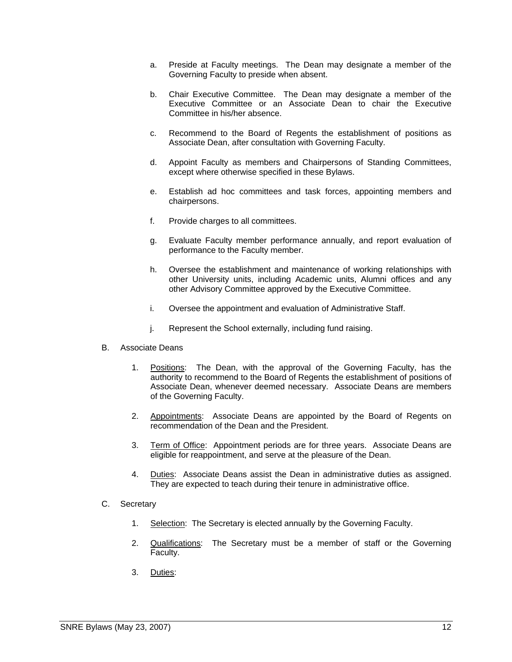- a. Preside at Faculty meetings. The Dean may designate a member of the Governing Faculty to preside when absent.
- b. Chair Executive Committee. The Dean may designate a member of the Executive Committee or an Associate Dean to chair the Executive Committee in his/her absence.
- c. Recommend to the Board of Regents the establishment of positions as Associate Dean, after consultation with Governing Faculty.
- d. Appoint Faculty as members and Chairpersons of Standing Committees, except where otherwise specified in these Bylaws.
- e. Establish ad hoc committees and task forces, appointing members and chairpersons.
- f. Provide charges to all committees.
- g. Evaluate Faculty member performance annually, and report evaluation of performance to the Faculty member.
- h. Oversee the establishment and maintenance of working relationships with other University units, including Academic units, Alumni offices and any other Advisory Committee approved by the Executive Committee.
- i. Oversee the appointment and evaluation of Administrative Staff.
- j. Represent the School externally, including fund raising.
- B. Associate Deans
	- 1. Positions: The Dean, with the approval of the Governing Faculty, has the authority to recommend to the Board of Regents the establishment of positions of Associate Dean, whenever deemed necessary. Associate Deans are members of the Governing Faculty.
	- 2. Appointments: Associate Deans are appointed by the Board of Regents on recommendation of the Dean and the President.
	- 3. Term of Office: Appointment periods are for three years. Associate Deans are eligible for reappointment, and serve at the pleasure of the Dean.
	- 4. Duties: Associate Deans assist the Dean in administrative duties as assigned. They are expected to teach during their tenure in administrative office.
- C. Secretary
	- 1. Selection: The Secretary is elected annually by the Governing Faculty.
	- 2. Qualifications: The Secretary must be a member of staff or the Governing Faculty.
	- 3. Duties: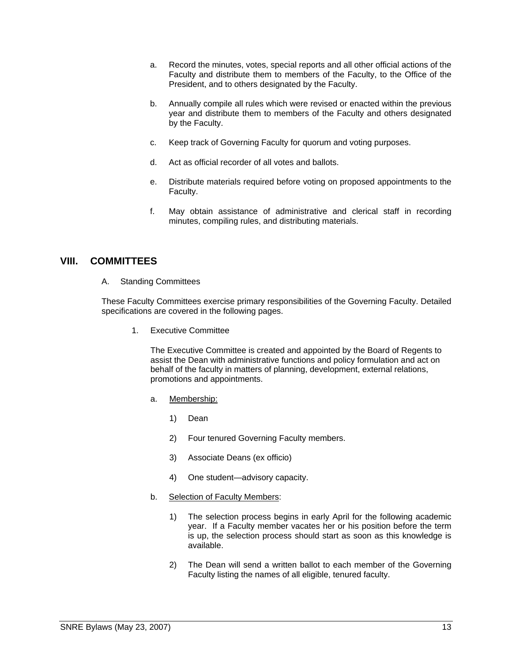- a. Record the minutes, votes, special reports and all other official actions of the Faculty and distribute them to members of the Faculty, to the Office of the President, and to others designated by the Faculty.
- b. Annually compile all rules which were revised or enacted within the previous year and distribute them to members of the Faculty and others designated by the Faculty.
- c. Keep track of Governing Faculty for quorum and voting purposes.
- d. Act as official recorder of all votes and ballots.
- e. Distribute materials required before voting on proposed appointments to the Faculty.
- f. May obtain assistance of administrative and clerical staff in recording minutes, compiling rules, and distributing materials.

#### **VIII. COMMITTEES**

A. Standing Committees

These Faculty Committees exercise primary responsibilities of the Governing Faculty. Detailed specifications are covered in the following pages.

1. Executive Committee

 The Executive Committee is created and appointed by the Board of Regents to assist the Dean with administrative functions and policy formulation and act on behalf of the faculty in matters of planning, development, external relations, promotions and appointments.

- a. Membership:
	- 1) Dean
	- 2) Four tenured Governing Faculty members.
	- 3) Associate Deans (ex officio)
	- 4) One student—advisory capacity.
- b. Selection of Faculty Members:
	- 1) The selection process begins in early April for the following academic year. If a Faculty member vacates her or his position before the term is up, the selection process should start as soon as this knowledge is available.
	- 2) The Dean will send a written ballot to each member of the Governing Faculty listing the names of all eligible, tenured faculty.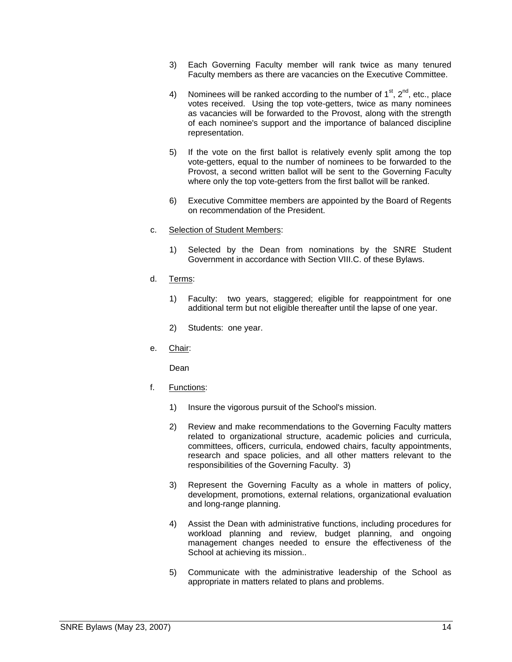- 3) Each Governing Faculty member will rank twice as many tenured Faculty members as there are vacancies on the Executive Committee.
- 4) Nominees will be ranked according to the number of  $1<sup>st</sup>$ ,  $2<sup>nd</sup>$ , etc., place votes received. Using the top vote-getters, twice as many nominees as vacancies will be forwarded to the Provost, along with the strength of each nominee's support and the importance of balanced discipline representation.
- 5) If the vote on the first ballot is relatively evenly split among the top vote-getters, equal to the number of nominees to be forwarded to the Provost, a second written ballot will be sent to the Governing Faculty where only the top vote-getters from the first ballot will be ranked.
- 6) Executive Committee members are appointed by the Board of Regents on recommendation of the President.
- c. Selection of Student Members:
	- 1) Selected by the Dean from nominations by the SNRE Student Government in accordance with Section VIII.C. of these Bylaws.
- d. Terms:
	- 1) Faculty: two years, staggered; eligible for reappointment for one additional term but not eligible thereafter until the lapse of one year.
	- 2) Students: one year.
- e. Chair:

Dean

- f. Functions:
	- 1) Insure the vigorous pursuit of the School's mission.
	- 2) Review and make recommendations to the Governing Faculty matters related to organizational structure, academic policies and curricula, committees, officers, curricula, endowed chairs, faculty appointments, research and space policies, and all other matters relevant to the responsibilities of the Governing Faculty. 3)
	- 3) Represent the Governing Faculty as a whole in matters of policy, development, promotions, external relations, organizational evaluation and long-range planning.
	- 4) Assist the Dean with administrative functions, including procedures for workload planning and review, budget planning, and ongoing management changes needed to ensure the effectiveness of the School at achieving its mission..
	- 5) Communicate with the administrative leadership of the School as appropriate in matters related to plans and problems.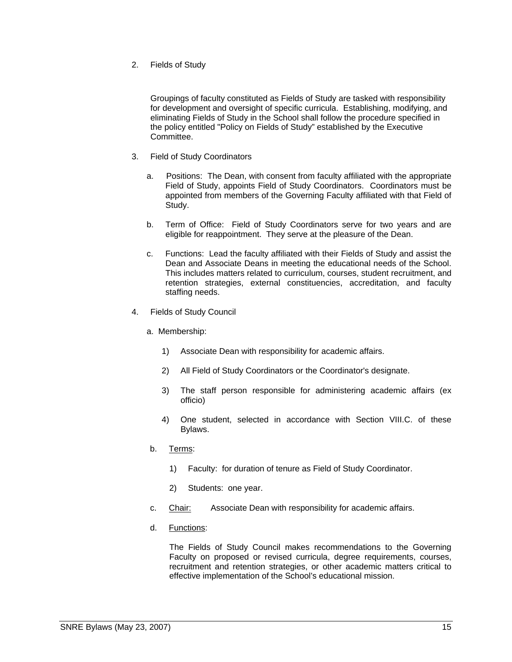2. Fields of Study

 Groupings of faculty constituted as Fields of Study are tasked with responsibility for development and oversight of specific curricula. Establishing, modifying, and eliminating Fields of Study in the School shall follow the procedure specified in the policy entitled "Policy on Fields of Study" established by the Executive Committee.

- 3. Field of Study Coordinators
	- a. Positions: The Dean, with consent from faculty affiliated with the appropriate Field of Study, appoints Field of Study Coordinators. Coordinators must be appointed from members of the Governing Faculty affiliated with that Field of Study.
	- b. Term of Office: Field of Study Coordinators serve for two years and are eligible for reappointment. They serve at the pleasure of the Dean.
	- c. Functions: Lead the faculty affiliated with their Fields of Study and assist the Dean and Associate Deans in meeting the educational needs of the School. This includes matters related to curriculum, courses, student recruitment, and retention strategies, external constituencies, accreditation, and faculty staffing needs.
- 4. Fields of Study Council
	- a. Membership:
		- 1) Associate Dean with responsibility for academic affairs.
		- 2) All Field of Study Coordinators or the Coordinator's designate.
		- 3) The staff person responsible for administering academic affairs (ex officio)
		- 4) One student, selected in accordance with Section VIII.C. of these Bylaws.
	- b. Terms:
		- 1) Faculty: for duration of tenure as Field of Study Coordinator.
		- 2) Students: one year.
	- c. Chair: Associate Dean with responsibility for academic affairs.
	- d. Functions:

The Fields of Study Council makes recommendations to the Governing Faculty on proposed or revised curricula, degree requirements, courses, recruitment and retention strategies, or other academic matters critical to effective implementation of the School's educational mission.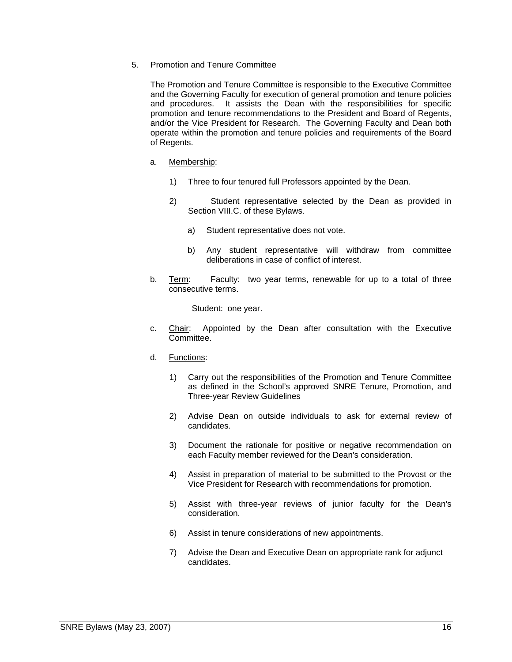5. Promotion and Tenure Committee

 The Promotion and Tenure Committee is responsible to the Executive Committee and the Governing Faculty for execution of general promotion and tenure policies and procedures. It assists the Dean with the responsibilities for specific promotion and tenure recommendations to the President and Board of Regents, and/or the Vice President for Research. The Governing Faculty and Dean both operate within the promotion and tenure policies and requirements of the Board of Regents.

- a. Membership:
	- 1) Three to four tenured full Professors appointed by the Dean.
	- 2) Student representative selected by the Dean as provided in Section VIII.C. of these Bylaws.
		- a) Student representative does not vote.
		- b) Any student representative will withdraw from committee deliberations in case of conflict of interest.
- b. Term: Faculty: two year terms, renewable for up to a total of three consecutive terms.

Student: one year.

- c. Chair: Appointed by the Dean after consultation with the Executive Committee.
- d. Functions:
	- 1) Carry out the responsibilities of the Promotion and Tenure Committee as defined in the School's approved SNRE Tenure, Promotion, and Three-year Review Guidelines
	- 2) Advise Dean on outside individuals to ask for external review of candidates.
	- 3) Document the rationale for positive or negative recommendation on each Faculty member reviewed for the Dean's consideration.
	- 4) Assist in preparation of material to be submitted to the Provost or the Vice President for Research with recommendations for promotion.
	- 5) Assist with three-year reviews of junior faculty for the Dean's consideration.
	- 6) Assist in tenure considerations of new appointments.
	- 7) Advise the Dean and Executive Dean on appropriate rank for adjunct candidates.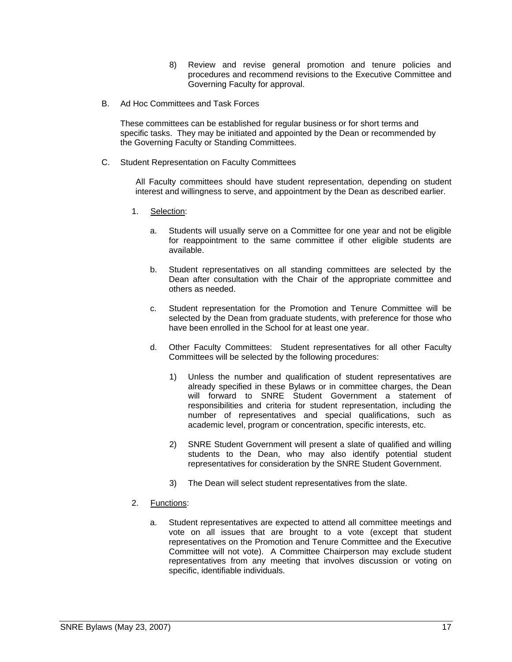- 8) Review and revise general promotion and tenure policies and procedures and recommend revisions to the Executive Committee and Governing Faculty for approval.
- B. Ad Hoc Committees and Task Forces

 These committees can be established for regular business or for short terms and specific tasks. They may be initiated and appointed by the Dean or recommended by the Governing Faculty or Standing Committees.

C. Student Representation on Faculty Committees

All Faculty committees should have student representation, depending on student interest and willingness to serve, and appointment by the Dean as described earlier.

- 1. Selection:
	- a. Students will usually serve on a Committee for one year and not be eligible for reappointment to the same committee if other eligible students are available.
	- b. Student representatives on all standing committees are selected by the Dean after consultation with the Chair of the appropriate committee and others as needed.
	- c. Student representation for the Promotion and Tenure Committee will be selected by the Dean from graduate students, with preference for those who have been enrolled in the School for at least one year.
	- d. Other Faculty Committees: Student representatives for all other Faculty Committees will be selected by the following procedures:
		- 1) Unless the number and qualification of student representatives are already specified in these Bylaws or in committee charges, the Dean will forward to SNRE Student Government a statement of responsibilities and criteria for student representation, including the number of representatives and special qualifications, such as academic level, program or concentration, specific interests, etc.
		- 2) SNRE Student Government will present a slate of qualified and willing students to the Dean, who may also identify potential student representatives for consideration by the SNRE Student Government.
		- 3) The Dean will select student representatives from the slate.
- 2. Functions:
	- a. Student representatives are expected to attend all committee meetings and vote on all issues that are brought to a vote (except that student representatives on the Promotion and Tenure Committee and the Executive Committee will not vote). A Committee Chairperson may exclude student representatives from any meeting that involves discussion or voting on specific, identifiable individuals.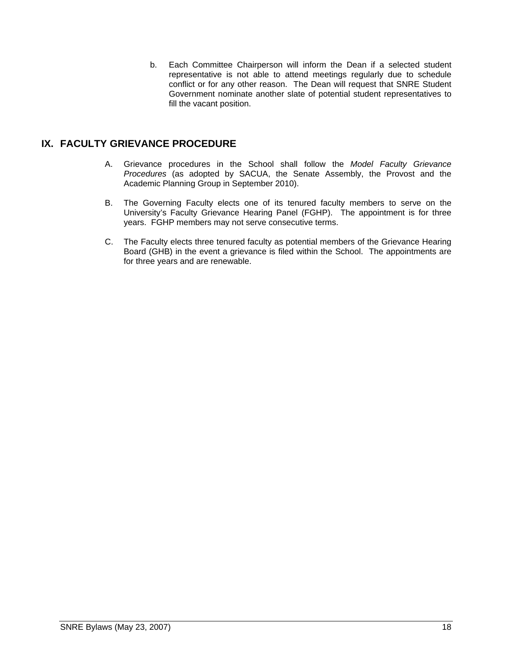b. Each Committee Chairperson will inform the Dean if a selected student representative is not able to attend meetings regularly due to schedule conflict or for any other reason. The Dean will request that SNRE Student Government nominate another slate of potential student representatives to fill the vacant position.

# **IX. FACULTY GRIEVANCE PROCEDURE**

- A. Grievance procedures in the School shall follow the *Model Faculty Grievance Procedures* (as adopted by SACUA, the Senate Assembly, the Provost and the Academic Planning Group in September 2010).
- B. The Governing Faculty elects one of its tenured faculty members to serve on the University's Faculty Grievance Hearing Panel (FGHP). The appointment is for three years. FGHP members may not serve consecutive terms.
- C. The Faculty elects three tenured faculty as potential members of the Grievance Hearing Board (GHB) in the event a grievance is filed within the School. The appointments are for three years and are renewable.